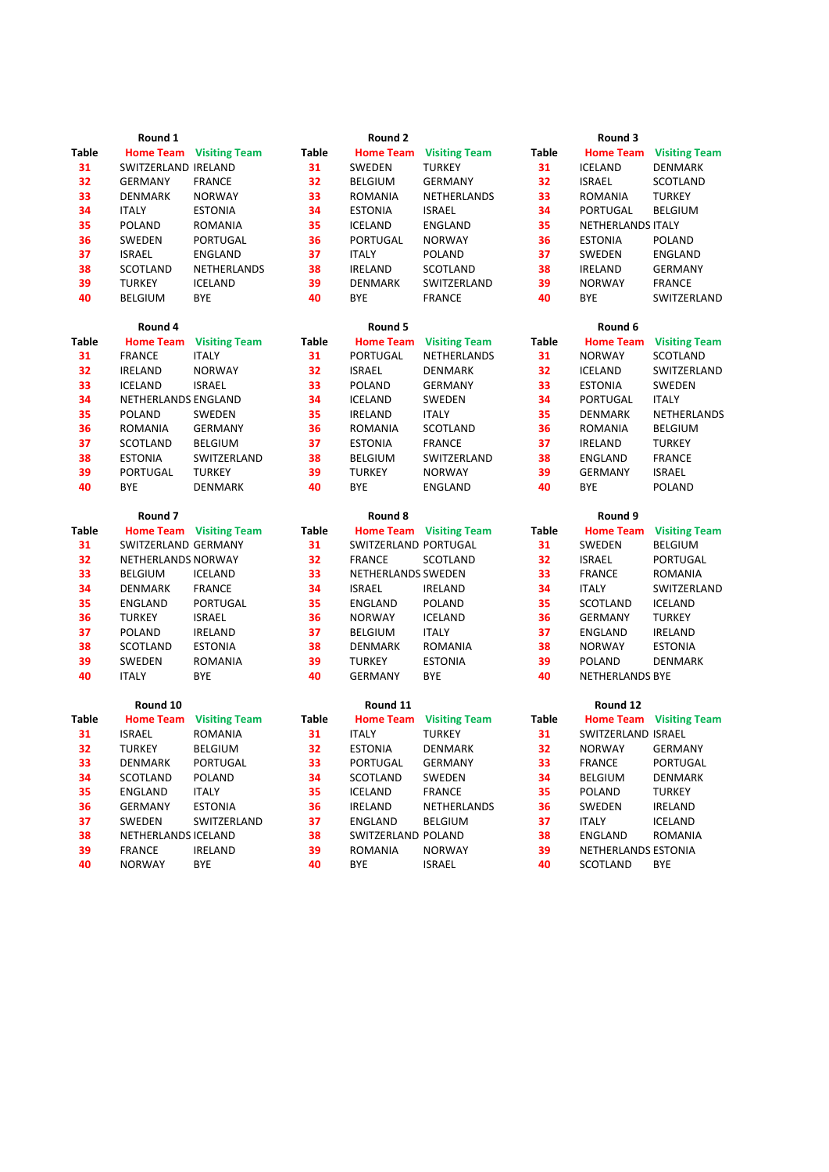|              | Round 1             |                                |              | Round 2              |                                |              | Round 3             |                                |  |
|--------------|---------------------|--------------------------------|--------------|----------------------|--------------------------------|--------------|---------------------|--------------------------------|--|
| Table        |                     | <b>Home Team</b> Visiting Team | <b>Table</b> |                      | <b>Home Team</b> Visiting Team | <b>Table</b> |                     | <b>Home Team</b> Visiting Team |  |
| 31           | SWITZERLAND IRELAND |                                | 31           | SWEDEN               | <b>TURKEY</b>                  | 31           | <b>ICELAND</b>      | DENMARK                        |  |
| 32           | <b>GERMANY</b>      | <b>FRANCE</b>                  | 32           | <b>BELGIUM</b>       | <b>GERMANY</b>                 | 32           | <b>ISRAEL</b>       | SCOTLAND                       |  |
| 33           | <b>DENMARK</b>      | <b>NORWAY</b>                  | 33           | <b>ROMANIA</b>       | NETHERLANDS                    | 33           | <b>ROMANIA</b>      | <b>TURKEY</b>                  |  |
| 34           | <b>ITALY</b>        | <b>ESTONIA</b>                 | 34           | <b>ESTONIA</b>       | <b>ISRAEL</b>                  | 34           | PORTUGAL            | <b>BELGIUM</b>                 |  |
| 35           | <b>POLAND</b>       | <b>ROMANIA</b>                 | 35           | <b>ICELAND</b>       | <b>ENGLAND</b>                 | 35           | NETHERLANDS ITALY   |                                |  |
| 36           | SWEDEN              | PORTUGAL                       | 36           | PORTUGAL             | <b>NORWAY</b>                  | 36           | <b>ESTONIA</b>      | POLAND                         |  |
| 37           | <b>ISRAEL</b>       | ENGLAND                        | 37           | <b>ITALY</b>         | POLAND                         | 37           | SWEDEN              | ENGLAND                        |  |
| 38           | <b>SCOTLAND</b>     | NETHERLANDS                    | 38           | <b>IRELAND</b>       | SCOTLAND                       | 38           | <b>IRELAND</b>      | <b>GERMANY</b>                 |  |
| 39           | <b>TURKEY</b>       | <b>ICELAND</b>                 | 39           | DENMARK              | SWITZERLAND                    | 39           | <b>NORWAY</b>       | <b>FRANCE</b>                  |  |
| 40           | <b>BELGIUM</b>      | BYE                            | 40           | BYE                  | <b>FRANCE</b>                  | 40           | <b>BYE</b>          | SWITZERLAND                    |  |
|              | Round 4             |                                |              | Round 5              |                                |              | Round 6             |                                |  |
| <b>Table</b> | <b>Home Team</b>    | <b>Visiting Team</b>           | Table        | <b>Home Team</b>     | <b>Visiting Team</b>           | <b>Table</b> | <b>Home Team</b>    | <b>Visiting Team</b>           |  |
| 31           | <b>FRANCE</b>       | <b>ITALY</b>                   | 31           | PORTUGAL             | NETHERLANDS                    | 31           | <b>NORWAY</b>       | SCOTLAND                       |  |
| 32           | <b>IRELAND</b>      | <b>NORWAY</b>                  | 32           | <b>ISRAEL</b>        | <b>DENMARK</b>                 | 32           | <b>ICELAND</b>      | SWITZERLAND                    |  |
| 33           | <b>ICELAND</b>      | <b>ISRAEL</b>                  | 33           | POLAND               | <b>GERMANY</b>                 | 33           | <b>ESTONIA</b>      | SWEDEN                         |  |
| 34           | NETHERLANDS ENGLAND |                                | 34           | ICELAND              | SWEDEN                         | 34           | PORTUGAL            | <b>ITALY</b>                   |  |
| 35           | <b>POLAND</b>       | SWEDEN                         | 35           | <b>IRELAND</b>       | <b>ITALY</b>                   | 35           | DENMARK             | NETHERLANDS                    |  |
| 36           | <b>ROMANIA</b>      | <b>GERMANY</b>                 | 36           | ROMANIA              | SCOTLAND                       | 36           | <b>ROMANIA</b>      | <b>BELGIUM</b>                 |  |
| 37           | <b>SCOTLAND</b>     | <b>BELGIUM</b>                 | 37           | <b>ESTONIA</b>       | <b>FRANCE</b>                  | 37           | <b>IRELAND</b>      | <b>TURKEY</b>                  |  |
| 38           | <b>ESTONIA</b>      | SWITZERLAND                    | 38           | <b>BELGIUM</b>       | SWITZERLAND                    | 38           | ENGLAND             | <b>FRANCE</b>                  |  |
| 39           | PORTUGAL            | <b>TURKEY</b>                  | 39           | <b>TURKEY</b>        | <b>NORWAY</b>                  | 39           | <b>GERMANY</b>      | <b>ISRAEL</b>                  |  |
| 40           | <b>BYE</b>          | <b>DENMARK</b>                 | 40           | <b>BYE</b>           | <b>ENGLAND</b>                 | 40           | <b>BYE</b>          | <b>POLAND</b>                  |  |
|              |                     |                                |              |                      |                                |              |                     |                                |  |
|              | Round <sub>7</sub>  |                                |              | Round 8              |                                |              | Round 9             |                                |  |
| Table        |                     | <b>Home Team</b> Visiting Team | <b>Table</b> |                      | <b>Home Team</b> Visiting Team | <b>Table</b> | <b>Home Team</b>    | <b>Visiting Team</b>           |  |
| 31           | SWITZERLAND GERMANY |                                | 31           | SWITZERLAND PORTUGAL |                                | 31           | SWEDEN              | <b>BELGIUM</b>                 |  |
| 32           | NETHERLANDS NORWAY  |                                | 32           | <b>FRANCE</b>        | SCOTLAND                       | 32           | <b>ISRAEL</b>       | PORTUGAL                       |  |
| 33           | <b>BELGIUM</b>      | <b>ICELAND</b>                 | 33           | NETHERLANDS SWEDEN   |                                | 33           | <b>FRANCE</b>       | ROMANIA                        |  |
| 34           | <b>DENMARK</b>      | <b>FRANCE</b>                  | 34           | <b>ISRAEL</b>        | <b>IRELAND</b>                 | 34           | <b>ITALY</b>        | SWITZERLAND                    |  |
| 35           | ENGLAND             | PORTUGAL                       | 35           | ENGLAND              | <b>POLAND</b>                  | 35           | SCOTLAND            | <b>ICELAND</b>                 |  |
| 36           | <b>TURKEY</b>       | <b>ISRAEL</b>                  | 36           | <b>NORWAY</b>        | <b>ICELAND</b>                 | 36           | GERMANY             | <b>TURKEY</b>                  |  |
| 37           | <b>POLAND</b>       | <b>IRELAND</b>                 | 37           | <b>BELGIUM</b>       | <b>ITALY</b>                   | 37           | ENGLAND             | <b>IRELAND</b>                 |  |
| 38           | SCOTLAND            | <b>ESTONIA</b>                 | 38           | DENMARK              | ROMANIA                        | 38           | <b>NORWAY</b>       | <b>ESTONIA</b>                 |  |
| 39           | SWEDEN              | <b>ROMANIA</b>                 | 39           | <b>TURKEY</b>        | <b>ESTONIA</b>                 | 39           | POLAND              | <b>DENMARK</b>                 |  |
| 40           | <b>ITALY</b>        | BYE                            | 40           | <b>GERMANY</b>       | <b>BYE</b>                     | 40           | NETHERLANDS BYE     |                                |  |
|              | Round 10            |                                |              | Round 11             |                                |              | Round 12            |                                |  |
| Table        | <b>Home Team</b>    | <b>Visiting Team</b>           | Table        | <b>Home Team</b>     | <b>Visiting Team</b>           | <b>Table</b> |                     | <b>Home Team</b> Visiting Team |  |
| 31           | <b>ISRAEL</b>       | <b>ROMANIA</b>                 | 31           | <b>ITALY</b>         | <b>TURKEY</b>                  | 31           | SWITZERLAND ISRAEL  |                                |  |
| 32           | <b>TURKEY</b>       | BELGIUM                        | 32           | <b>ESTONIA</b>       | <b>DENMARK</b>                 | 32           | <b>NORWAY</b>       | <b>GERMANY</b>                 |  |
| 33           | DENMARK             | PORTUGAL                       | 33           | PORTUGAL             | <b>GERMANY</b>                 | 33           | <b>FRANCE</b>       | PORTUGAL                       |  |
| 34           | SCOTLAND            | POLAND                         | 34           | SCOTLAND             | SWEDEN                         | 34           | <b>BELGIUM</b>      | <b>DENMARK</b>                 |  |
| 35           | ENGLAND             | <b>ITALY</b>                   | 35           | <b>ICELAND</b>       | <b>FRANCE</b>                  | 35           | POLAND              | <b>TURKEY</b>                  |  |
| 36           | <b>GERMANY</b>      | <b>ESTONIA</b>                 | 36           | <b>IRELAND</b>       | NETHERLANDS                    | 36           | SWEDEN              | <b>IRELAND</b>                 |  |
| 37           | SWEDEN              | SWITZERLAND                    | 37           | ENGLAND              | <b>BELGIUM</b>                 | 37           | <b>ITALY</b>        | <b>ICELAND</b>                 |  |
| 38           | NETHERLANDS ICELAND |                                | 38           | SWITZERLAND POLAND   |                                | 38           | <b>ENGLAND</b>      | <b>ROMANIA</b>                 |  |
| 39           | <b>FRANCE</b>       | <b>IRELAND</b>                 | 39           | ROMANIA              | <b>NORWAY</b>                  | 39           | NETHERLANDS ESTONIA |                                |  |
| 40           | <b>NORWAY</b>       | <b>BYE</b>                     | 40           | BYE                  | <b>ISRAEL</b>                  | 40           | SCOTLAND            | <b>BYE</b>                     |  |